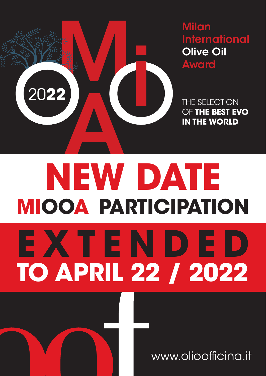

Milan **International** 

OF **THE BEST EVO IN THE WORLD**

## **NEW DATE MIOOA PARTICIPATION EXTENDED TO APRIL 22 / 2022**

www.olioofficina.it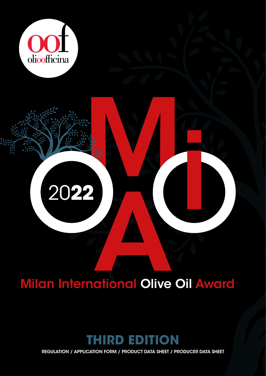

20**22**

# 2022<br>Milan International Olive Oil Award<br>Andrew Oil Award

M

**in the contract of the contract of the contract of the contract of the contract of the contract of the contract of the contract of the contract of the contract of the contract of the contract of the contract of the contra** 

### **IRD EDITION**

REGULATION / APPLICATION FORM / PRODUCT DATA SHEET / PRODUCER DATA SHEET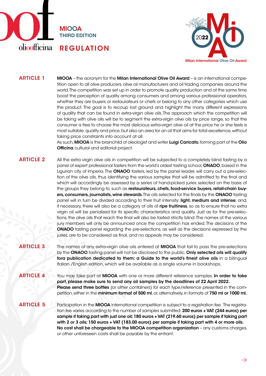



MIOOA – the acronym for the Milan International Olive Oil Award – is an international competition open to all olive producers, olive oil manufacturers and oil trading companies around the world. The competition was set up in order to promote quality production and at the same time boost the perception of quality among consumers and among various professional operators, whether they are buyers or restaurateurs or chefs or belong to any other categories which use the product. The goal is to recoup lost ground and highlight the many different expressions of quality that can be found in extra-virgin olive oils. The approach which the competition will be taking with olive oils will be to segment the extra-virgin olive oils by price range, so that the consumer is free to choose the most delicious extra-virgin olive oil at the price he or she feels is most suitable: quality and price, but also an area for an oil that aims for total excellence, without taking price constraints into account at all. ARTICLE 1

> As such, **MIOOA** is the brainchild of oleologist and writer Luigi Caricato, forming part of the Olio **Officina** cultural and editorial project.

#### ARTICLE 2

All the extra virgin olive oils in competition will be subjected to a completely blind tasting by a panel of expert professional tasters from the world's oldest tasting school, ONAOO, based in the Ligurian city of Imperia. The ONAOO tasters, led by the panel leader, will carry out a pre-selection of the olive oils, thus identifying the various samples that will be admitted to the fnal and which will accordingly be assessed by a series of hand-picked juries selected on the basis of the groups they belong to, such as restaurateurs, chefs, food-service buyers, retail-chain buyers, consumers, journalists, wine stewards. The oils selected for the finals by the ONAOO tasting panel will in turn be divided according to their fruit intensity: light, medium and intense; and, if necessary, there will also be a category of oils of ripe fruitiness, so as to ensure that no extra virgin oil will be penalized for its specifc characteristics and quality. Just as for the pre-selections, the olive oils that reach the fnal will also be tasted strictly blind. The names of the various jury members will only be announced once the competition has ended. The decisions of the ONAOO tasting panel regarding the pre-selections, as well as the decisions expressed by the juries, are to be considered as final, and no appeals may be considered.

#### ARTICLE 3

The names of any extra-virgin olive oils entered at **MIOOA** that fail to pass the pre-selections by the ONAOO tasting panel will not be disclosed to the public. Only selected oils will qualify fora publication dedicated to them: a Guide to the world's fnest olive oils in a bilingual Italian /English edition, which will be available as a single volume in bookshops.

You may take part at MIOOA with one or more different reference samples. In order to take part, please make sure to send any oil samples by the deadlines of 22 April 2022. Please send three bottles (or other containers) for each type/reference presented in the competition, either in the minimum format of 500 ml, or, alternatively, in formats of 750 ml or 1000 ml. ARTICLE 4

#### ARTICLE 5

Participation in the MIOOA international competition is subject to a registration fee. The registration fee varies according to the number of samples submitted: 200 euros + VAT (244 euros) per sample if taking part with just one oil; 180 euros + VAT (219.60 euros) per sample if taking part with 2 or 3 oils; 150 euros + VAT (183.00 euros) per sample if taking part with 4 or more oils. No cost shall be chargeable to the MIOOA competition organization - any customs charges, or other unforeseen costs shall be payable by the entrant.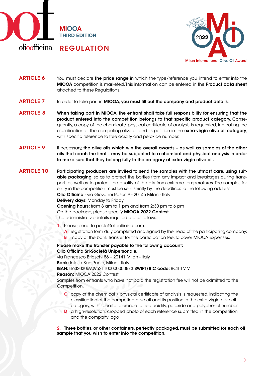



 $\rightarrow$ 

#### You must declare the price range in which the type/reference you intend to enter into the MIOOA competition is marketed. This information can be entered in the Product data sheet attached to these Regulations. ARTICLE 6

- In order to take part in MIOOA, you must fill out the company and product details. ARTICLE 7
- When taking part in MIOOA, the entrant shall take full responsibility for ensuring that the product entered into the competition belongs to that specifc product category. Consequently, a copy of the chemical / physical certifcate of analysis is requested, indicating the classification of the competing olive oil and its position in the extra-virgin olive oil category, with specific reference to free acidity and peroxide number.. ARTICLE 8
- If necessary, the olive oils which win the overall awards as well as samples of the other oils that reach the fnal – may be subjected to a chemical and physical analysis in order to make sure that they belong fully to the category of extra-virgin olive oil. ARTICLE 9
- Participating producers are invited to send the samples with the utmost care, using suitable packaging, so as to protect the bottles from any impact and breakages during transport, as well as to protect the quality of the oils from extreme temperatures. The samples for entry in the competition must be sent strictly by the deadlines to the following address: Olio Officina - via Giovanni Rasori 9 - 20145 Milan - Italy Delivery days: Monday to Friday Opening hours: from 8 am to 1 pm and from 2:30 pm to 6 pm On the package, please specify MIOOA 2022 Contest The administrative details required are as follows: ARTICLE 10
	- 1. Please, send to posta@olioofficina.com:
		- A registration form duly completed and signed by the head of the participating company;
		- B copy of the bank transfer for the participation fee, to cover MIOOA expenses.

Please make the transfer payable to the following account: Olio Officina Srl-Società Unipersonale,

via Francesco Brioschi 86 – 20141 Milan - Italy

Bank: Intesa San Paolo, Milan - Italy

IBAN: IT63S0306909521100000000873 SWIFT/BIC code: BCITITMM Reason: MIOOA 2022 Contest

Samples from entrants who have not paid the registration fee will not be admitted to the Competition.

- C copy of the chemical / physical certifcate of analysis is requested, indicating the classifcation of the competing olive oil and its position in the extra-virgin olive oil
- category, with specifc reference to free acidity, peroxide and polyphenol number. D a high-resolution, cropped photo of each reference submitted in the competition and the company logo

2. Three bottles, or other containers, perfectly packaged, must be submitted for each oil sample that you wish to enter into the competition.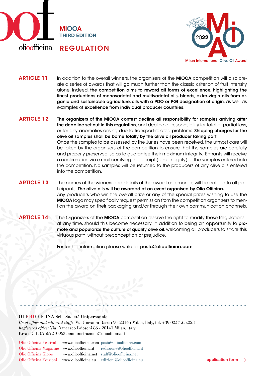



In addition to the overall winners, the organizers of the MIOOA competition will also create a series of awards that will go much further than the classic criterion of fruit intensity alone. Indeed, the competition aims to reward all forms of excellence, highlighting the fnest productions of monovarietal and multivarietal oils, blends, extra-virgin oils from organic and sustainable agriculture, oils with a PDO or PGI designation of origin, as well as examples of excellence from individual producer countries. ARTICLE 11

- The organizers of the MIOOA contest decline all responsibility for samples arriving after the deadline set out in this regulation, and decline all responsibility for total or partial loss, or for any anomalies arising due to transport-related problems. Shipping charges for the olive oil samples shall be borne totally by the olive oil producer taking part. Once the samples to be assessed by the Juries have been received, the utmost care will be taken by the organizers of the competition to ensure that the samples are carefully and properly preserved, so as to guarantee their maximum integrity. Entrants will receive a confrmation via e-mail certifying the receipt (and integrity) of the samples entered into the competition. No samples will be returned to the producers of any olive oils entered into the competition. ARTICLE 12
- The names of the winners and details of the award ceremonies will be notifed to all participants. The olive oils will be awarded at an event organised by Olio Officina. Any producers who win the overall prize or any of the special prizes wishing to use the MIOOA logo may specifcally request permission from the competition organizers to mention the award on their packaging and/or through their own communication channels. ARTICLE 13
- The Organizers of the **MIOOA** competition reserve the right to modify these Regulations at any time, should this become necessary. In addition to being an opportunity to promote and popularize the culture of quality olive oil, welcoming all producers to share this virtuous path, without preconception or prejudice. ARTICLE 14

For further information please write to **posta@olioofficina.com** 

#### OLIOOFFICINA Srl - Società Unipersonale

*Head office and editorial staff:* Via Giovanni Rasori 9 - 20145 Milan, Italy, tel. +39 02.84.65.223 *Registered office:* Via Francesco Brioschi 86 - 20141 Milan, Italy P.iva e C.F. 07567210963, amministrazione@olioofficina.it

Olio Officina Festival Olio Officina Magazine www.olioofficina.it Olio Officina Globe

Olio Officina Edizioni www.olioofficina.eu edizioni@olioofficina.eu **application form** > www.olioofficina.com posta@olioofficina.com www.olioofficina.net staff@olioofficina.net

redazione@olioofficina.it

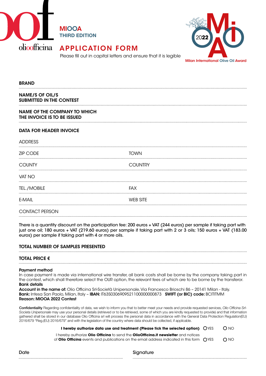

MIOOA THIRD EDITION



#### APPLICATION FORM

Please fll out in capital letters and ensure that it is legible

#### BRAND NAME/S OF OIL/S SUBMITTED IN THE CONTEST NAME OF THE COMPANY TO WHICH THE INVOICE IS TO BE ISSUED DATA FOR HEADER INVOICE **ADDRESS** ZIP CODE TOWN COUNTY COUNTRY ........................ VAT NO TEL./MOBILE FAX E-MAIL WEB SITE CONTACT PERSON

There is a quantity discount on the participation fee: 200 euros + VAT (244 euros) per sample if taking part with just one oil; 180 euros + VAT (219.60 euros) per sample if taking part with 2 or 3 oils; 150 euros + VAT (183.00 euros) per sample if taking part with 4 or more oils.

#### TOTAL NUMBER OF SAMPLES PRESENTED

#### TOTAL PRICE €

#### Payment method

In case payment is made via international wire transfer, all bank costs shall be borne by the company taking part in the contest, which shall therefore select the OUR option, the relevant fees of which are to be borne by the transferor. Bank details

Account in the name of: Olio Officina Srl-Società Unipersonale, Via Francesco Brioschi 86 - 20141 Milan - Italy. Bank: Intesa San Paolo, Milan, Italy - IBAN: IT63S0306909521100000000873 SWIFT (or BIC) code: BCITITMM Reason: MIOOA 2022 Contest

Confdentiality Regarding confdentiality of data, we wish to inform you that to better meet your needs and provide requested services, *Olio Of*f*cina Srl-Societa Unipersonale* may use your personal details (retrieved or to be retrieved, some of which you are kindly requested to provide) and that information gathered shall be stored in our database Olio Officina srl will process the personal data in accordance with the General Data Protection Regulation(EU) 2016/679 "Reg.(EU) 2016/679" and with the legislation of the country where data should be collected, if applicable.

**I hereby authorize data use and treatment (Please tick the selected option)**  $\bigcirc$  YES  $\bigcirc$  NO

I hereby authorize **Olio Offcina** to send the **OlioOffcina.it newsletter** and notices of **Olio Officina** events and publications on the email address indicated in this form  $\bigcirc$  YES  $\bigcirc$  NO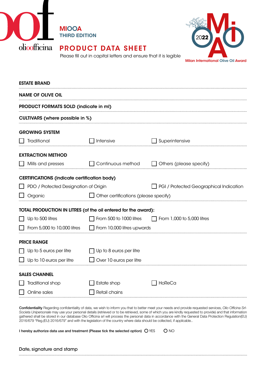

#### PRODUCT DATA SHEET

MIOOA

THIRD EDITION



Please fll out in capital letters and ensure that it is legible

| <b>ESTATE BRAND</b>                                            |                                       |                                                |  |  |  |
|----------------------------------------------------------------|---------------------------------------|------------------------------------------------|--|--|--|
| <b>NAME OF OLIVE OIL</b>                                       |                                       |                                                |  |  |  |
| PRODUCT FORMATS SOLD (indicate in ml)                          |                                       |                                                |  |  |  |
| <b>CULTIVARS</b> (where possible in %)                         |                                       |                                                |  |  |  |
| <b>GROWING SYSTEM</b>                                          |                                       |                                                |  |  |  |
| Traditional                                                    | Intensive                             | <b>Superintensive</b>                          |  |  |  |
| <b>EXTRACTION METHOD</b>                                       |                                       |                                                |  |  |  |
| Mills and presses                                              | Continuous method                     | Others (please specify)                        |  |  |  |
| <b>CERTIFICATIONS (indicate certification body)</b>            |                                       |                                                |  |  |  |
| PDO / Protected Designation of Origin                          |                                       | <b>PGI</b> / Protected Geographical Indication |  |  |  |
| Organic                                                        | Other certifications (please specify) |                                                |  |  |  |
| TOTAL PRODUCTION IN LITRES (of the oil entered for the award): |                                       |                                                |  |  |  |
| Up to 500 litres                                               | From 500 to 1000 litres               | From 1,000 to 5,000 litres                     |  |  |  |
| From 5,000 to 10,000 litres                                    | From 10,000 litres upwards            |                                                |  |  |  |
| <b>PRICE RANGE</b>                                             |                                       |                                                |  |  |  |
| Up to 5 euros per litre                                        | Up to 8 euros per litre               |                                                |  |  |  |
| Up to 10 euros per litre                                       | Over 10 euros per litre               |                                                |  |  |  |
| <b>SALES CHANNEL</b>                                           |                                       |                                                |  |  |  |
| Traditional shop                                               | Estate shop                           | HoReCa                                         |  |  |  |
| Online sales                                                   | Retail chains                         |                                                |  |  |  |

Confdentiality Regarding confdentiality of data, we wish to inform you that to better meet your needs and provide requested services, *Olio Of*f*cina Srl-Societa Unipersonale* may use your personal details (retrieved or to be retrieved, some of which you are kindly requested to provide) and that information gathered shall be stored in our database Olio Officina srl will process the personal data in accordance with the General Data Protection Regulation(EU) 2016/679 "Reg.(EU) 2016/679" and with the legislation of the country where data should be collected, if applicable..

| I hereby authorize data use and treatment (Please tick the selected option) $\bigcirc$ YES |  | O NO |
|--------------------------------------------------------------------------------------------|--|------|
|--------------------------------------------------------------------------------------------|--|------|

#### Date, signature and stamp